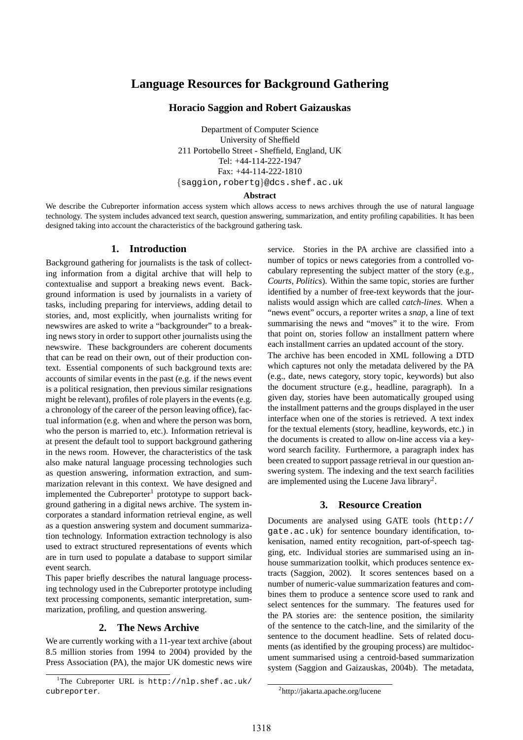# **Language Resources for Background Gathering**

### **Horacio Saggion and Robert Gaizauskas**

Department of Computer Science University of Sheffield 211 Portobello Street - Sheffield, England, UK Tel: +44-114-222-1947 Fax: +44-114-222-1810 {saggion,robertg}@dcs.shef.ac.uk

### **Abstract**

We describe the Cubreporter information access system which allows access to news archives through the use of natural language technology. The system includes advanced text search, question answering, summarization, and entity profiling capabilities. It has been designed taking into account the characteristics of the background gathering task.

### **1. Introduction**

Background gathering for journalists is the task of collecting information from a digital archive that will help to contextualise and support a breaking news event. Background information is used by journalists in a variety of tasks, including preparing for interviews, adding detail to stories, and, most explicitly, when journalists writing for newswires are asked to write a "backgrounder" to a breaking news story in order to support other journalists using the newswire. These backgrounders are coherent documents that can be read on their own, out of their production context. Essential components of such background texts are: accounts of similar events in the past (e.g. if the news event is a political resignation, then previous similar resignations might be relevant), profiles of role players in the events (e.g. a chronology of the career of the person leaving office), factual information (e.g. when and where the person was born, who the person is married to, etc.). Information retrieval is at present the default tool to support background gathering in the news room. However, the characteristics of the task also make natural language processing technologies such as question answering, information extraction, and summarization relevant in this context. We have designed and implemented the  $Cubreporter<sup>1</sup>$  $Cubreporter<sup>1</sup>$  $Cubreporter<sup>1</sup>$  prototype to support background gathering in a digital news archive. The system incorporates a standard information retrieval engine, as well as a question answering system and document summarization technology. Information extraction technology is also used to extract structured representations of events which are in turn used to populate a database to support similar event search.

This paper briefly describes the natural language processing technology used in the Cubreporter prototype including text processing components, semantic interpretation, summarization, profiling, and question answering.

### **2. The News Archive**

We are currently working with a 11-year text archive (about 8.5 million stories from 1994 to 2004) provided by the Press Association (PA), the major UK domestic news wire

service. Stories in the PA archive are classified into a number of topics or news categories from a controlled vocabulary representing the subject matter of the story (e.g., *Courts*, *Politics*). Within the same topic, stories are further identified by a number of free-text keywords that the journalists would assign which are called *catch-lines*. When a "news event" occurs, a reporter writes a *snap*, a line of text summarising the news and "moves" it to the wire. From that point on, stories follow an installment pattern where each installment carries an updated account of the story. The archive has been encoded in XML following a DTD which captures not only the metadata delivered by the PA (e.g., date, news category, story topic, keywords) but also the document structure (e.g., headline, paragraph). In a given day, stories have been automatically grouped using the installment patterns and the groups displayed in the user interface when one of the stories is retrieved. A text index for the textual elements (story, headline, keywords, etc.) in the documents is created to allow on-line access via a keyword search facility. Furthermore, a paragraph index has been created to support passage retrieval in our question answering system. The indexing and the text search facilities are implemented using the Lucene Java library<sup>[2](#page-0-1)</sup>.

### **3. Resource Creation**

Documents are analysed using GATE tools ([http://](http://gate.ac.uk) [gate.ac.uk](http://gate.ac.uk)) for sentence boundary identification, tokenisation, named entity recognition, part-of-speech tagging, etc. Individual stories are summarised using an inhouse summarization toolkit, which produces sentence extracts [\(Saggion, 2002\)](#page-3-0). It scores sentences based on a number of numeric-value summarization features and combines them to produce a sentence score used to rank and select sentences for the summary. The features used for the PA stories are: the sentence position, the similarity of the sentence to the catch-line, and the similarity of the sentence to the document headline. Sets of related documents (as identified by the grouping process) are multidocument summarised using a centroid-based summarization system [\(Saggion and Gaizauskas, 2004b](#page-3-1)). The metadata,

<span id="page-0-0"></span><sup>1</sup>The Cubreporter URL is [http://nlp.shef.ac.uk/](http://nlp.shef.ac.uk/cubreporter) [cubreporter](http://nlp.shef.ac.uk/cubreporter).

<span id="page-0-1"></span><sup>2</sup> http://jakarta.apache.org/lucene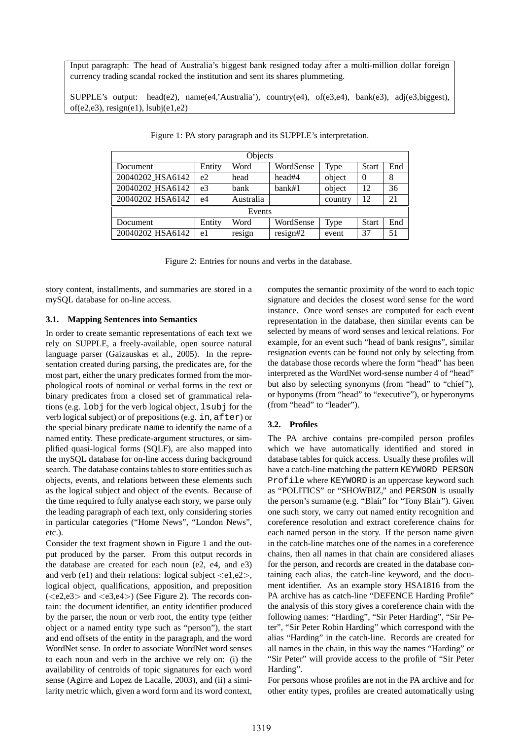Input paragraph: The head of Australia's biggest bank resigned today after a multi-million dollar foreign currency trading scandal rocked the institution and sent its shares plummeting.

SUPPLE's output: head(e2), name(e4,'Australia'), country(e4), of(e3,e4), bank(e3), adj(e3,biggest),  $of (e2, e3),$  resign $(e1),$  lsubj $(e1, e2)$ 

| Objects          |                |             |           |             |              |     |
|------------------|----------------|-------------|-----------|-------------|--------------|-----|
| Document.        | Entity         | Word        | WordSense | <b>Type</b> | <b>Start</b> | End |
| 20040202_HSA6142 | e <sub>2</sub> | head        | head#4    | object      | $\Omega$     | 8   |
| 20040202_HSA6142 | e <sub>3</sub> | <b>bank</b> | bank#1    | object      | 12           | 36  |
| 20040202_HSA6142 | e4             | Australia   |           | country     | 12           | 21  |
| Events           |                |             |           |             |              |     |
| Document         | Entity         | Word        | WordSense | Type        | <b>Start</b> | End |
| 20040202_HSA6142 | e1             | resign      | resign#2  | event       | 37           | 51  |

<span id="page-1-0"></span>Figure 1: PA story paragraph and its SUPPLE's interpretation.

<span id="page-1-1"></span>Figure 2: Entries for nouns and verbs in the database.

story content, installments, and summaries are stored in a mySQL database for on-line access.

#### **3.1. Mapping Sentences into Semantics**

In order to create semantic representations of each text we rely on SUPPLE, a freely-available, open source natural language parser ([Gaizauskas et al., 2005](#page-3-2)). In the representation created during parsing, the predicates are, for the most part, either the unary predicates formed from the morphological roots of nominal or verbal forms in the text or binary predicates from a closed set of grammatical relations (e.g. lobj for the verb logical object, lsubj for the verb logical subject) or of prepositions (e.g. in, after) or the special binary predicate name to identify the name of a named entity. These predicate-argument structures, or simplified quasi-logical forms (SQLF), are also mapped into the mySQL database for on-line access during background search. The database contains tables to store entities such as objects, events, and relations between these elements such as the logical subject and object of the events. Because of the time required to fully analyse each story, we parse only the leading paragraph of each text, only considering stories in particular categories ("Home News", "London News", etc.).

Consider the text fragment shown in Figure [1](#page-1-0) and the output produced by the parser. From this output records in the database are created for each noun (e2, e4, and e3) and verb (e1) and their relations: logical subject  $\langle$ e1,e2 $\rangle$ , logical object, qualifications, apposition, and preposition  $($  $($  $($  and  $$ ) (See Figure 2). The records contain: the document identifier, an entity identifier produced by the parser, the noun or verb root, the entity type (either object or a named entity type such as "person"), the start and end offsets of the entity in the paragraph, and the word WordNet sense. In order to associate WordNet word senses to each noun and verb in the archive we rely on: (i) the availability of centroids of topic signatures for each word sense ([Agirre and Lopez de Lacalle, 2003](#page-3-3)), and (ii) a similarity metric which, given a word form and its word context, computes the semantic proximity of the word to each topic signature and decides the closest word sense for the word instance. Once word senses are computed for each event representation in the database, then similar events can be selected by means of word senses and lexical relations. For example, for an event such "head of bank resigns", similar resignation events can be found not only by selecting from the database those records where the form "head" has been interpreted as the WordNet word-sense number 4 of "head" but also by selecting synonyms (from "head" to "chief"), or hyponyms (from "head" to "executive"), or hyperonyms (from "head" to "leader").

#### **3.2. Profiles**

The PA archive contains pre-compiled person profiles which we have automatically identified and stored in database tables for quick access. Usually these profiles will have a catch-line matching the pattern KEYWORD PERSON Profile where KEYWORD is an uppercase keyword such as "POLITICS" or "SHOWBIZ," and PERSON is usually the person's surname (e.g. "Blair" for "Tony Blair"). Given one such story, we carry out named entity recognition and coreference resolution and extract coreference chains for each named person in the story. If the person name given in the catch-line matches one of the names in a coreference chains, then all names in that chain are considered aliases for the person, and records are created in the database containing each alias, the catch-line keyword, and the document identifier. As an example story HSA1816 from the PA archive has as catch-line "DEFENCE Harding Profile" the analysis of this story gives a coreference chain with the following names: "Harding", "Sir Peter Harding", "Sir Peter", "Sir Peter Robin Harding" which correspond with the alias "Harding" in the catch-line. Records are created for all names in the chain, in this way the names "Harding" or "Sir Peter" will provide access to the profile of "Sir Peter Harding".

For persons whose profiles are not in the PA archive and for other entity types, profiles are created automatically using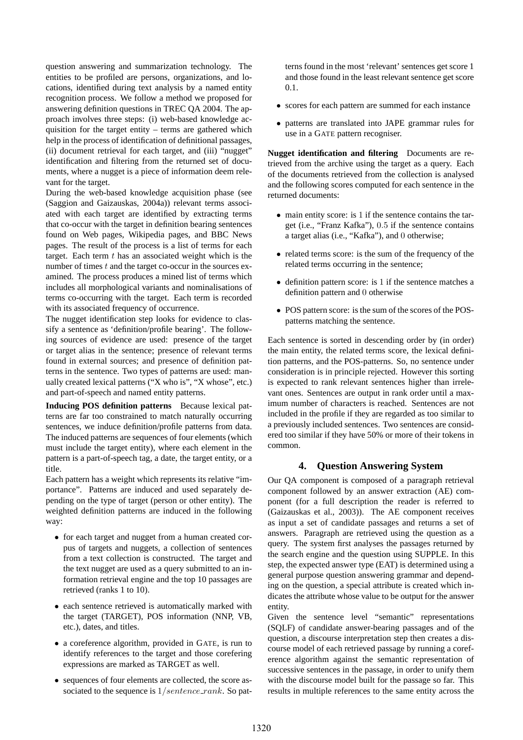question answering and summarization technology. The entities to be profiled are persons, organizations, and locations, identified during text analysis by a named entity recognition process. We follow a method we proposed for answering definition questions in TREC QA 2004. The approach involves three steps: (i) web-based knowledge acquisition for the target entity – terms are gathered which help in the process of identification of definitional passages, (ii) document retrieval for each target, and (iii) "nugget" identification and filtering from the returned set of documents, where a nugget is a piece of information deem relevant for the target.

During the web-based knowledge acquisition phase (see [\(Saggion and Gaizauskas, 2004a](#page-3-4))) relevant terms associated with each target are identified by extracting terms that co-occur with the target in definition bearing sentences found on Web pages, Wikipedia pages, and BBC News pages. The result of the process is a list of terms for each target. Each term  $t$  has an associated weight which is the number of times  $t$  and the target co-occur in the sources examined. The process produces a mined list of terms which includes all morphological variants and nominalisations of terms co-occurring with the target. Each term is recorded with its associated frequency of occurrence.

The nugget identification step looks for evidence to classify a sentence as 'definition/profile bearing'. The following sources of evidence are used: presence of the target or target alias in the sentence; presence of relevant terms found in external sources; and presence of definition patterns in the sentence. Two types of patterns are used: manually created lexical patterns ("X who is", "X whose", etc.) and part-of-speech and named entity patterns.

**Inducing POS definition patterns** Because lexical patterns are far too constrained to match naturally occurring sentences, we induce definition/profile patterns from data. The induced patterns are sequences of four elements (which must include the target entity), where each element in the pattern is a part-of-speech tag, a date, the target entity, or a title.

Each pattern has a weight which represents its relative "importance". Patterns are induced and used separately depending on the type of target (person or other entity). The weighted definition patterns are induced in the following way:

- for each target and nugget from a human created corpus of targets and nuggets, a collection of sentences from a text collection is constructed. The target and the text nugget are used as a query submitted to an information retrieval engine and the top 10 passages are retrieved (ranks 1 to 10).
- each sentence retrieved is automatically marked with the target (TARGET), POS information (NNP, VB, etc.), dates, and titles.
- a coreference algorithm, provided in GATE, is run to identify references to the target and those corefering expressions are marked as TARGET as well.
- sequences of four elements are collected, the score associated to the sequence is  $1/sentence\_rank$ . So pat-

terns found in the most 'relevant' sentences get score 1 and those found in the least relevant sentence get score 0.1.

- scores for each pattern are summed for each instance
- patterns are translated into JAPE grammar rules for use in a GATE pattern recogniser.

**Nugget identification and filtering** Documents are retrieved from the archive using the target as a query. Each of the documents retrieved from the collection is analysed and the following scores computed for each sentence in the returned documents:

- main entity score: is 1 if the sentence contains the target (i.e., "Franz Kafka"), 0.5 if the sentence contains a target alias (i.e., "Kafka"), and 0 otherwise;
- related terms score: is the sum of the frequency of the related terms occurring in the sentence;
- definition pattern score: is 1 if the sentence matches a definition pattern and 0 otherwise
- POS pattern score: is the sum of the scores of the POSpatterns matching the sentence.

Each sentence is sorted in descending order by (in order) the main entity, the related terms score, the lexical definition patterns, and the POS-patterns. So, no sentence under consideration is in principle rejected. However this sorting is expected to rank relevant sentences higher than irrelevant ones. Sentences are output in rank order until a maximum number of characters is reached. Sentences are not included in the profile if they are regarded as too similar to a previously included sentences. Two sentences are considered too similar if they have 50% or more of their tokens in common.

# **4. Question Answering System**

Our QA component is composed of a paragraph retrieval component followed by an answer extraction (AE) component (for a full description the reader is referred to [\(Gaizauskas et al., 2003](#page-3-5))). The AE component receives as input a set of candidate passages and returns a set of answers. Paragraph are retrieved using the question as a query. The system first analyses the passages returned by the search engine and the question using SUPPLE. In this step, the expected answer type (EAT) is determined using a general purpose question answering grammar and depending on the question, a special attribute is created which indicates the attribute whose value to be output for the answer entity.

Given the sentence level "semantic" representations (SQLF) of candidate answer-bearing passages and of the question, a discourse interpretation step then creates a discourse model of each retrieved passage by running a coreference algorithm against the semantic representation of successive sentences in the passage, in order to unify them with the discourse model built for the passage so far. This results in multiple references to the same entity across the